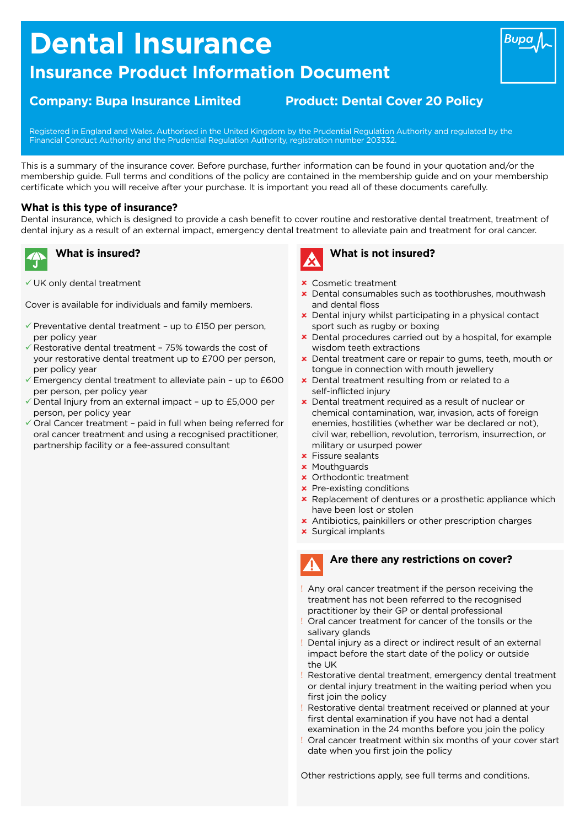# **Dental Insurance**

# **Insurance Product Information Document**

## **Company: Bupa Insurance Limited Product: Dental Cover 20 Policy**

Registered in England and Wales. Authorised in the United Kingdom by the Prudential Regulation Authority and regulated by the Financial Conduct Authority and the Prudential Regulation Authority, registration number 203332.

This is a summary of the insurance cover. Before purchase, further information can be found in your quotation and/or the membership guide. Full terms and conditions of the policy are contained in the membership guide and on your membership certificate which you will receive after your purchase. It is important you read all of these documents carefully.

#### **What is this type of insurance?**

Dental insurance, which is designed to provide a cash benefit to cover routine and restorative dental treatment, treatment of dental injury as a result of an external impact, emergency dental treatment to alleviate pain and treatment for oral cancer.



## **What is insured?**

 $\checkmark$  UK only dental treatment

Cover is available for individuals and family members.

- $\checkmark$  Preventative dental treatment up to £150 per person, per policy year
- $\checkmark$  Restorative dental treatment 75% towards the cost of your restorative dental treatment up to £700 per person, per policy year
- $\checkmark$  Emergency dental treatment to alleviate pain up to £600 per person, per policy year
- $\sqrt{}$  Dental Injury from an external impact up to £5,000 per person, per policy year
- $\checkmark$  Oral Cancer treatment paid in full when being referred for oral cancer treatment and using a recognised practitioner, partnership facility or a fee-assured consultant



## **What is not insured?**

- û Cosmetic treatment
- **x** Dental consumables such as toothbrushes, mouthwash and dental floss
- **x** Dental injury whilst participating in a physical contact sport such as rugby or boxing
- **x** Dental procedures carried out by a hospital, for example wisdom teeth extractions
- û Dental treatment care or repair to gums, teeth, mouth or tongue in connection with mouth jewellery
- **x** Dental treatment resulting from or related to a self-inflicted injury
- **x** Dental treatment required as a result of nuclear or chemical contamination, war, invasion, acts of foreign enemies, hostilities (whether war be declared or not), civil war, rebellion, revolution, terrorism, insurrection, or military or usurped power
- $\times$  Fissure sealants
- **x** Mouthguards
- û Orthodontic treatment
- $\times$  Pre-existing conditions
- **x** Replacement of dentures or a prosthetic appliance which have been lost or stolen
- **x** Antibiotics, painkillers or other prescription charges
- **x** Surgical implants

### **Are there any restrictions on cover?**

- ! Any oral cancer treatment if the person receiving the treatment has not been referred to the recognised practitioner by their GP or dental professional
- ! Oral cancer treatment for cancer of the tonsils or the salivary glands
- ! Dental injury as a direct or indirect result of an external impact before the start date of the policy or outside the UK
- ! Restorative dental treatment, emergency dental treatment or dental injury treatment in the waiting period when you first join the policy
- ! Restorative dental treatment received or planned at your first dental examination if you have not had a dental examination in the 24 months before you join the policy
- Oral cancer treatment within six months of your cover start date when you first join the policy

Other restrictions apply, see full terms and conditions.